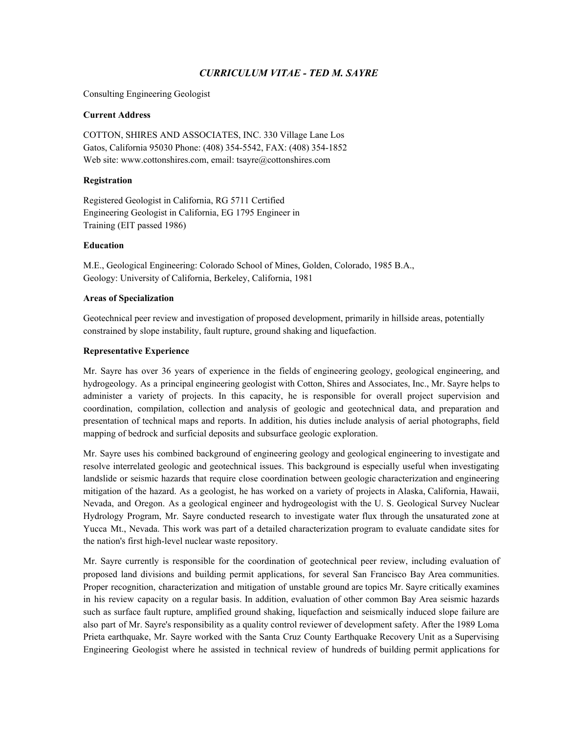# *CURRICULUM VITAE - TED M. SAYRE*

Consulting Engineering Geologist

### **Current Address**

COTTON, SHIRES AND ASSOCIATES, INC. 330 Village Lane Los Gatos, California 95030 Phone: (408) 354-5542, FAX: (408) 354-1852 Web site: www.cottonshires.com, email: tsayre@cottonshires.com

### **Registration**

Registered Geologist in California, RG 5711 Certified Engineering Geologist in California, EG 1795 Engineer in Training (EIT passed 1986)

### **Education**

M.E., Geological Engineering: Colorado School of Mines, Golden, Colorado, 1985 B.A., Geology: University of California, Berkeley, California, 1981

### **Areas of Specialization**

Geotechnical peer review and investigation of proposed development, primarily in hillside areas, potentially constrained by slope instability, fault rupture, ground shaking and liquefaction.

### **Representative Experience**

Mr. Sayre has over 36 years of experience in the fields of engineering geology, geological engineering, and hydrogeology. As a principal engineering geologist with Cotton, Shires and Associates, Inc., Mr. Sayre helps to administer a variety of projects. In this capacity, he is responsible for overall project supervision and coordination, compilation, collection and analysis of geologic and geotechnical data, and preparation and presentation of technical maps and reports. In addition, his duties include analysis of aerial photographs, field mapping of bedrock and surficial deposits and subsurface geologic exploration.

Mr. Sayre uses his combined background of engineering geology and geological engineering to investigate and resolve interrelated geologic and geotechnical issues. This background is especially useful when investigating landslide or seismic hazards that require close coordination between geologic characterization and engineering mitigation of the hazard. As a geologist, he has worked on a variety of projects in Alaska, California, Hawaii, Nevada, and Oregon. As a geological engineer and hydrogeologist with the U. S. Geological Survey Nuclear Hydrology Program, Mr. Sayre conducted research to investigate water flux through the unsaturated zone at Yucca Mt., Nevada. This work was part of a detailed characterization program to evaluate candidate sites for the nation's first high-level nuclear waste repository.

Mr. Sayre currently is responsible for the coordination of geotechnical peer review, including evaluation of proposed land divisions and building permit applications, for several San Francisco Bay Area communities. Proper recognition, characterization and mitigation of unstable ground are topics Mr. Sayre critically examines in his review capacity on a regular basis. In addition, evaluation of other common Bay Area seismic hazards such as surface fault rupture, amplified ground shaking, liquefaction and seismically induced slope failure are also part of Mr. Sayre's responsibility as a quality control reviewer of development safety. After the 1989 Loma Prieta earthquake, Mr. Sayre worked with the Santa Cruz County Earthquake Recovery Unit as a Supervising Engineering Geologist where he assisted in technical review of hundreds of building permit applications for